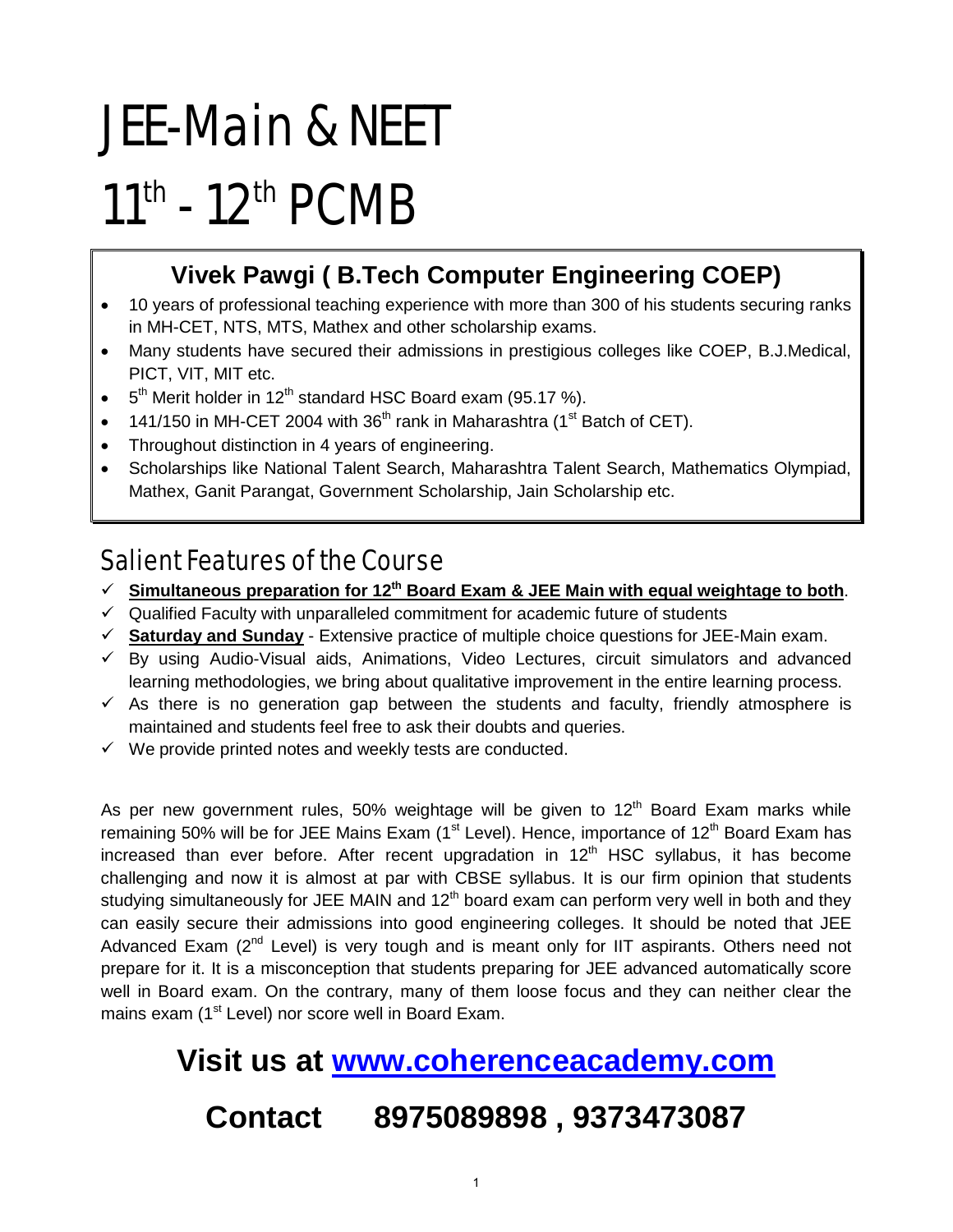# JEE-Main & NEET 11<sup>th</sup> - 12<sup>th</sup> PCMB

#### **Vivek Pawgi ( B.Tech Computer Engineering COEP)**

- 10 years of professional teaching experience with more than 300 of his students securing ranks in MH-CET, NTS, MTS, Mathex and other scholarship exams.
- Many students have secured their admissions in prestigious colleges like COEP, B.J.Medical, PICT, VIT, MIT etc.
- $5<sup>th</sup>$  Merit holder in 12<sup>th</sup> standard HSC Board exam (95.17 %).
- 141/150 in MH-CET 2004 with  $36<sup>th</sup>$  rank in Maharashtra (1<sup>st</sup> Batch of CET).
- Throughout distinction in 4 years of engineering.
- Scholarships like National Talent Search, Maharashtra Talent Search, Mathematics Olympiad, Mathex, Ganit Parangat, Government Scholarship, Jain Scholarship etc.

#### Salient Features of the Course

- $\checkmark$  Simultaneous preparation for 12<sup>th</sup> Board Exam & JEE Main with equal weightage to both.
- $\checkmark$  Qualified Faculty with unparalleled commitment for academic future of students
- **Saturday and Sunday** Extensive practice of multiple choice questions for JEE-Main exam.
- $\checkmark$  By using Audio-Visual aids, Animations, Video Lectures, circuit simulators and advanced learning methodologies, we bring about qualitative improvement in the entire learning process.
- $\checkmark$  As there is no generation gap between the students and faculty, friendly atmosphere is maintained and students feel free to ask their doubts and queries.
- $\checkmark$  We provide printed notes and weekly tests are conducted.

As per new government rules, 50% weightage will be given to  $12<sup>th</sup>$  Board Exam marks while remaining 50% will be for JEE Mains Exam ( $1<sup>st</sup>$  Level). Hence, importance of  $12<sup>th</sup>$  Board Exam has increased than ever before. After recent upgradation in  $12<sup>th</sup>$  HSC syllabus, it has become challenging and now it is almost at par with CBSE syllabus. It is our firm opinion that students studying simultaneously for JEE MAIN and  $12<sup>th</sup>$  board exam can perform very well in both and they can easily secure their admissions into good engineering colleges. It should be noted that JEE Advanced Exam  $(2^{nd}$  Level) is very tough and is meant only for IIT aspirants. Others need not prepare for it. It is a misconception that students preparing for JEE advanced automatically score well in Board exam. On the contrary, many of them loose focus and they can neither clear the mains exam (1<sup>st</sup> Level) nor score well in Board Exam.

## **Visit us at [www.coherenceacademy.com](http://www.coherenceacademy.com/) Contact 8975089898 , 9373473087**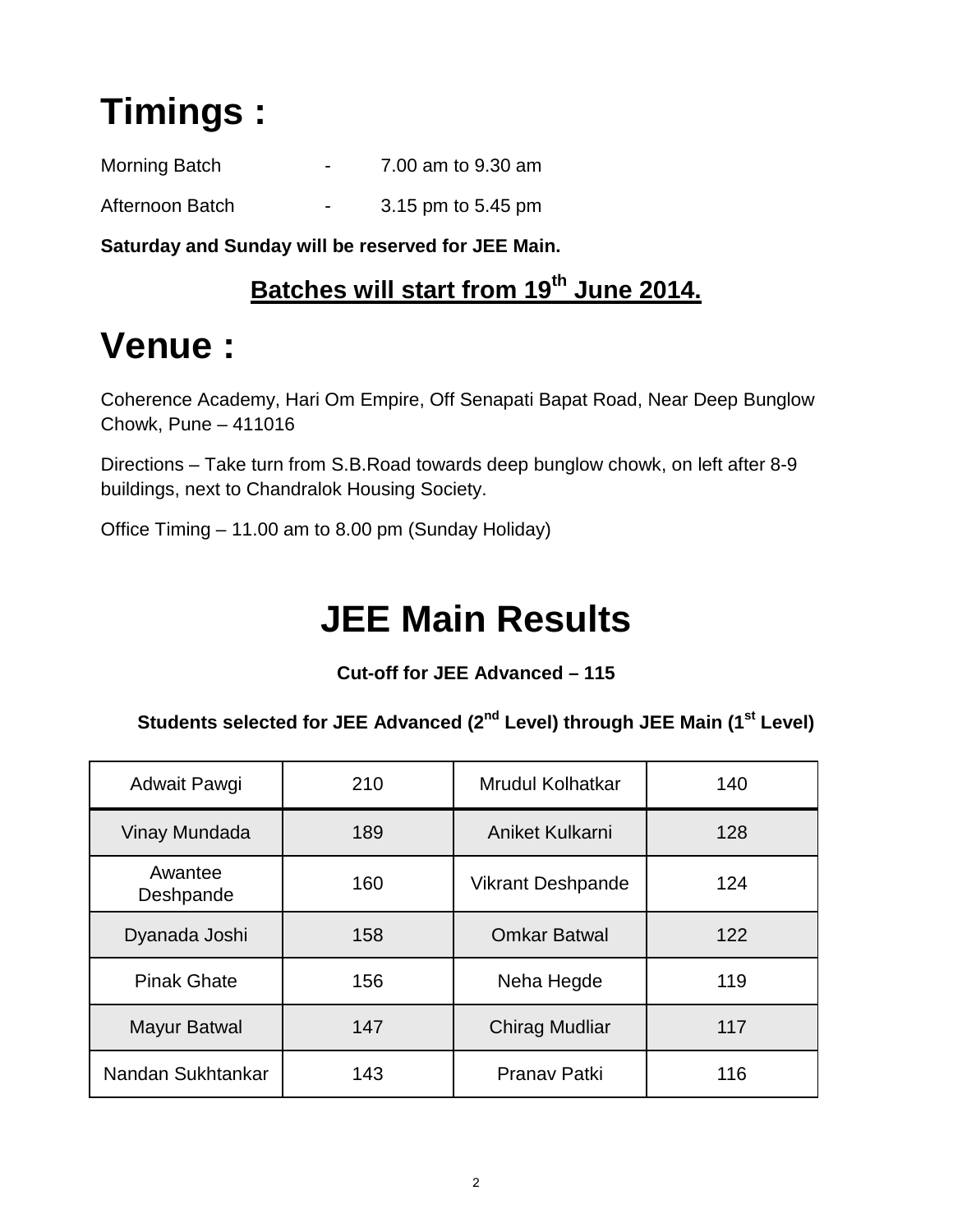# **Timings :**

| Morning Batch   | $\blacksquare$           | 7.00 am to 9.30 am |
|-----------------|--------------------------|--------------------|
| Afternoon Batch | $\overline{\phantom{0}}$ | 3.15 pm to 5.45 pm |

**Saturday and Sunday will be reserved for JEE Main.**

#### **Batches will start from 19th June 2014.**

### **Venue :**

Coherence Academy, Hari Om Empire, Off Senapati Bapat Road, Near Deep Bunglow Chowk, Pune – 411016

Directions – Take turn from S.B.Road towards deep bunglow chowk, on left after 8-9 buildings, next to Chandralok Housing Society.

Office Timing – 11.00 am to 8.00 pm (Sunday Holiday)

### **JEE Main Results**

**Cut-off for JEE Advanced – 115**

**Students selected for JEE Advanced (2nd Level) through JEE Main (1st Level)**

| Adwait Pawgi         | 210 | <b>Mrudul Kolhatkar</b>  | 140 |
|----------------------|-----|--------------------------|-----|
| Vinay Mundada        | 189 | Aniket Kulkarni          | 128 |
| Awantee<br>Deshpande | 160 | <b>Vikrant Deshpande</b> | 124 |
| Dyanada Joshi        | 158 | <b>Omkar Batwal</b>      | 122 |
| <b>Pinak Ghate</b>   | 156 | Neha Hegde               | 119 |
| <b>Mayur Batwal</b>  | 147 | <b>Chirag Mudliar</b>    | 117 |
| Nandan Sukhtankar    | 143 | Pranav Patki             | 116 |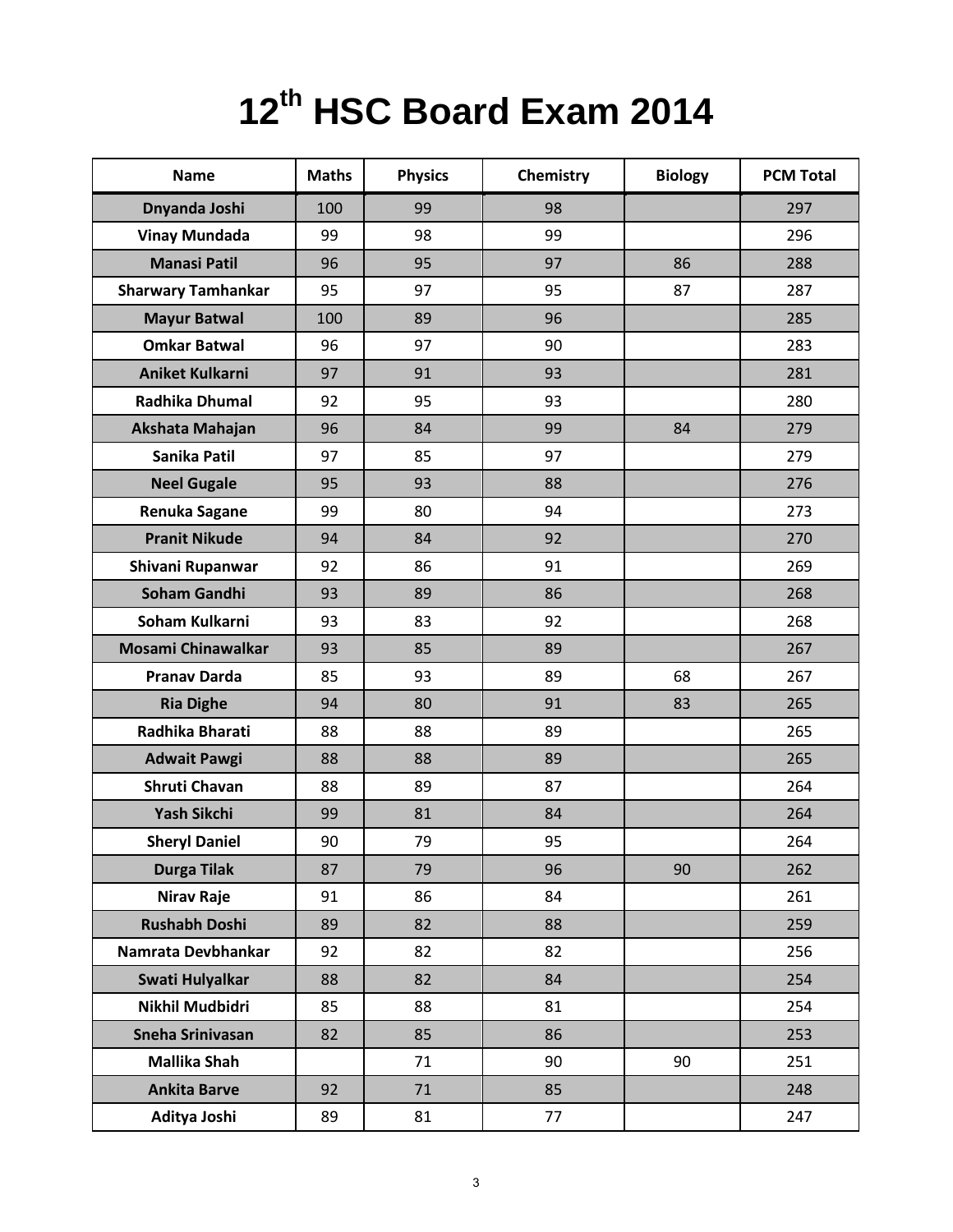# **12th HSC Board Exam 2014**

| <b>Name</b>               | <b>Maths</b> | <b>Physics</b> | Chemistry | <b>Biology</b> | <b>PCM Total</b> |
|---------------------------|--------------|----------------|-----------|----------------|------------------|
| Dnyanda Joshi             | 100          | 99             | 98        |                | 297              |
| <b>Vinay Mundada</b>      | 99           | 98             | 99        |                | 296              |
| <b>Manasi Patil</b>       | 96           | 95             | 97        | 86             | 288              |
| <b>Sharwary Tamhankar</b> | 95           | 97             | 95        | 87             | 287              |
| <b>Mayur Batwal</b>       | 100          | 89             | 96        |                | 285              |
| <b>Omkar Batwal</b>       | 96           | 97             | 90        |                | 283              |
| <b>Aniket Kulkarni</b>    | 97           | 91             | 93        |                | 281              |
| <b>Radhika Dhumal</b>     | 92           | 95             | 93        |                | 280              |
| Akshata Mahajan           | 96           | 84             | 99        | 84             | 279              |
| Sanika Patil              | 97           | 85             | 97        |                | 279              |
| <b>Neel Gugale</b>        | 95           | 93             | 88        |                | 276              |
| <b>Renuka Sagane</b>      | 99           | 80             | 94        |                | 273              |
| <b>Pranit Nikude</b>      | 94           | 84             | 92        |                | 270              |
| Shivani Rupanwar          | 92           | 86             | 91        |                | 269              |
| <b>Soham Gandhi</b>       | 93           | 89             | 86        |                | 268              |
| Soham Kulkarni            | 93           | 83             | 92        |                | 268              |
| <b>Mosami Chinawalkar</b> | 93           | 85             | 89        |                | 267              |
| <b>Pranav Darda</b>       | 85           | 93             | 89        | 68             | 267              |
| <b>Ria Dighe</b>          | 94           | 80             | 91        | 83             | 265              |
| Radhika Bharati           | 88           | 88             | 89        |                | 265              |
| <b>Adwait Pawgi</b>       | 88           | 88             | 89        |                | 265              |
| Shruti Chavan             | 88           | 89             | 87        |                | 264              |
| Yash Sikchi               | 99           | 81             | 84        |                | 264              |
| <b>Sheryl Daniel</b>      | 90           | 79             | 95        |                | 264              |
| <b>Durga Tilak</b>        | 87           | 79             | 96        | 90             | 262              |
| <b>Nirav Raje</b>         | 91           | 86             | 84        |                | 261              |
| <b>Rushabh Doshi</b>      | 89           | 82             | 88        |                | 259              |
| Namrata Devbhankar        | 92           | 82             | 82        |                | 256              |
| Swati Hulyalkar           | 88           | 82             | 84        |                | 254              |
| Nikhil Mudbidri           | 85           | 88             | 81        |                | 254              |
| Sneha Srinivasan          | 82           | 85             | 86        |                | 253              |
| Mallika Shah              |              | 71             | 90        | 90             | 251              |
| <b>Ankita Barve</b>       | 92           | 71             | 85        |                | 248              |
| Aditya Joshi              | 89           | 81             | 77        |                | 247              |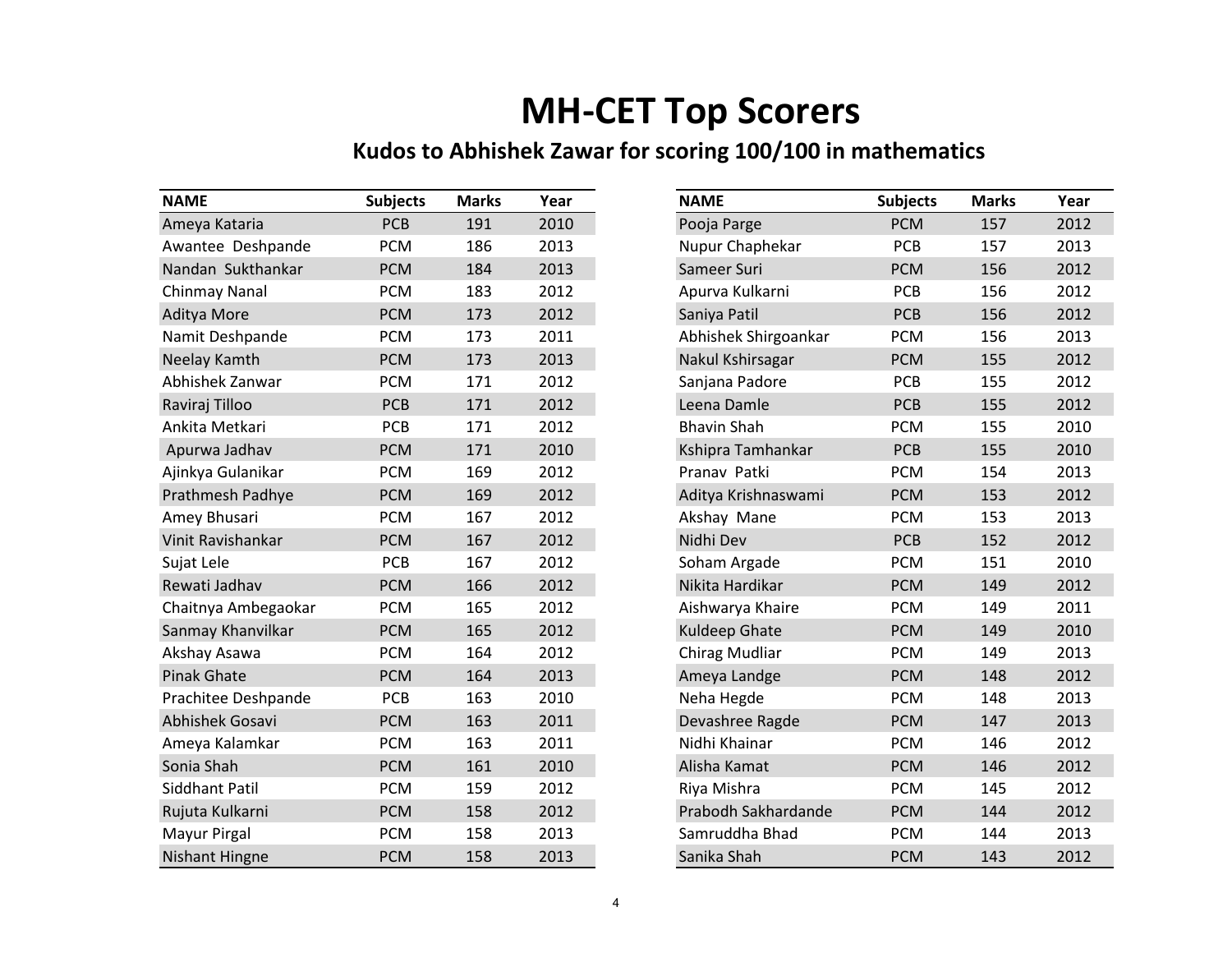### **MH-CET Top Scorers**

#### **Kudos to Abhishek Zawar for scoring 100/100 in mathematics**

| <b>NAME</b>           | <b>Subjects</b> | <b>Marks</b> | Year | <b>NAME</b>          | <b>Subjects</b> | <b>Marks</b> | Year |
|-----------------------|-----------------|--------------|------|----------------------|-----------------|--------------|------|
| Ameya Kataria         | <b>PCB</b>      | 191          | 2010 | Pooja Parge          | <b>PCM</b>      | 157          | 2012 |
| Awantee Deshpande     | <b>PCM</b>      | 186          | 2013 | Nupur Chaphekar      | <b>PCB</b>      | 157          | 2013 |
| Nandan Sukthankar     | <b>PCM</b>      | 184          | 2013 | Sameer Suri          | <b>PCM</b>      | 156          | 2012 |
| Chinmay Nanal         | <b>PCM</b>      | 183          | 2012 | Apurva Kulkarni      | <b>PCB</b>      | 156          | 2012 |
| Aditya More           | <b>PCM</b>      | 173          | 2012 | Saniya Patil         | PCB             | 156          | 2012 |
| Namit Deshpande       | <b>PCM</b>      | 173          | 2011 | Abhishek Shirgoankar | <b>PCM</b>      | 156          | 2013 |
| Neelay Kamth          | <b>PCM</b>      | 173          | 2013 | Nakul Kshirsagar     | <b>PCM</b>      | 155          | 2012 |
| Abhishek Zanwar       | <b>PCM</b>      | 171          | 2012 | Sanjana Padore       | <b>PCB</b>      | 155          | 2012 |
| Raviraj Tilloo        | PCB             | 171          | 2012 | Leena Damle          | PCB             | 155          | 2012 |
| Ankita Metkari        | PCB             | 171          | 2012 | <b>Bhavin Shah</b>   | <b>PCM</b>      | 155          | 2010 |
| Apurwa Jadhav         | <b>PCM</b>      | 171          | 2010 | Kshipra Tamhankar    | <b>PCB</b>      | 155          | 2010 |
| Ajinkya Gulanikar     | <b>PCM</b>      | 169          | 2012 | Pranav Patki         | <b>PCM</b>      | 154          | 2013 |
| Prathmesh Padhye      | <b>PCM</b>      | 169          | 2012 | Aditya Krishnaswami  | <b>PCM</b>      | 153          | 2012 |
| Amey Bhusari          | <b>PCM</b>      | 167          | 2012 | Akshay Mane          | <b>PCM</b>      | 153          | 2013 |
| Vinit Ravishankar     | <b>PCM</b>      | 167          | 2012 | Nidhi Dev            | <b>PCB</b>      | 152          | 2012 |
| Sujat Lele            | <b>PCB</b>      | 167          | 2012 | Soham Argade         | <b>PCM</b>      | 151          | 2010 |
| Rewati Jadhav         | <b>PCM</b>      | 166          | 2012 | Nikita Hardikar      | <b>PCM</b>      | 149          | 2012 |
| Chaitnya Ambegaokar   | <b>PCM</b>      | 165          | 2012 | Aishwarya Khaire     | <b>PCM</b>      | 149          | 2011 |
| Sanmay Khanvilkar     | <b>PCM</b>      | 165          | 2012 | Kuldeep Ghate        | <b>PCM</b>      | 149          | 2010 |
| Akshay Asawa          | <b>PCM</b>      | 164          | 2012 | Chirag Mudliar       | <b>PCM</b>      | 149          | 2013 |
| <b>Pinak Ghate</b>    | <b>PCM</b>      | 164          | 2013 | Ameya Landge         | <b>PCM</b>      | 148          | 2012 |
| Prachitee Deshpande   | PCB             | 163          | 2010 | Neha Hegde           | <b>PCM</b>      | 148          | 2013 |
| Abhishek Gosavi       | <b>PCM</b>      | 163          | 2011 | Devashree Ragde      | <b>PCM</b>      | 147          | 2013 |
| Ameya Kalamkar        | <b>PCM</b>      | 163          | 2011 | Nidhi Khainar        | <b>PCM</b>      | 146          | 2012 |
| Sonia Shah            | <b>PCM</b>      | 161          | 2010 | Alisha Kamat         | <b>PCM</b>      | 146          | 2012 |
| <b>Siddhant Patil</b> | <b>PCM</b>      | 159          | 2012 | Riya Mishra          | <b>PCM</b>      | 145          | 2012 |
| Rujuta Kulkarni       | <b>PCM</b>      | 158          | 2012 | Prabodh Sakhardande  | <b>PCM</b>      | 144          | 2012 |
| Mayur Pirgal          | <b>PCM</b>      | 158          | 2013 | Samruddha Bhad       | <b>PCM</b>      | 144          | 2013 |
| <b>Nishant Hingne</b> | <b>PCM</b>      | 158          | 2013 | Sanika Shah          | <b>PCM</b>      | 143          | 2012 |

| <b>NAME</b>          | <b>Subjects</b> | <b>Marks</b> | Year |
|----------------------|-----------------|--------------|------|
| Pooja Parge          | <b>PCM</b>      | 157          | 2012 |
| Nupur Chaphekar      | PCB             | 157          | 2013 |
| Sameer Suri          | <b>PCM</b>      | 156          | 2012 |
| Apurva Kulkarni      | PCB             | 156          | 2012 |
| Saniya Patil         | PCB             | 156          | 2012 |
| Abhishek Shirgoankar | <b>PCM</b>      | 156          | 2013 |
| Nakul Kshirsagar     | <b>PCM</b>      | 155          | 2012 |
| Sanjana Padore       | PCB             | 155          | 2012 |
| Leena Damle          | PCB             | 155          | 2012 |
| <b>Bhavin Shah</b>   | <b>PCM</b>      | 155          | 2010 |
| Kshipra Tamhankar    | <b>PCB</b>      | 155          | 2010 |
| Pranav Patki         | <b>PCM</b>      | 154          | 2013 |
| Aditya Krishnaswami  | <b>PCM</b>      | 153          | 2012 |
| Akshay Mane          | <b>PCM</b>      | 153          | 2013 |
| Nidhi Dev            | <b>PCB</b>      | 152          | 2012 |
| Soham Argade         | <b>PCM</b>      | 151          | 2010 |
| Nikita Hardikar      | <b>PCM</b>      | 149          | 2012 |
| Aishwarya Khaire     | <b>PCM</b>      | 149          | 2011 |
| Kuldeep Ghate        | <b>PCM</b>      | 149          | 2010 |
| Chirag Mudliar       | <b>PCM</b>      | 149          | 2013 |
| Ameya Landge         | <b>PCM</b>      | 148          | 2012 |
| Neha Hegde           | <b>PCM</b>      | 148          | 2013 |
| Devashree Ragde      | <b>PCM</b>      | 147          | 2013 |
| Nidhi Khainar        | <b>PCM</b>      | 146          | 2012 |
| Alisha Kamat         | <b>PCM</b>      | 146          | 2012 |
| Riya Mishra          | <b>PCM</b>      | 145          | 2012 |
| Prabodh Sakhardande  | <b>PCM</b>      | 144          | 2012 |
| Samruddha Bhad       | <b>PCM</b>      | 144          | 2013 |
| Sanika Shah          | <b>PCM</b>      | 143          | 2012 |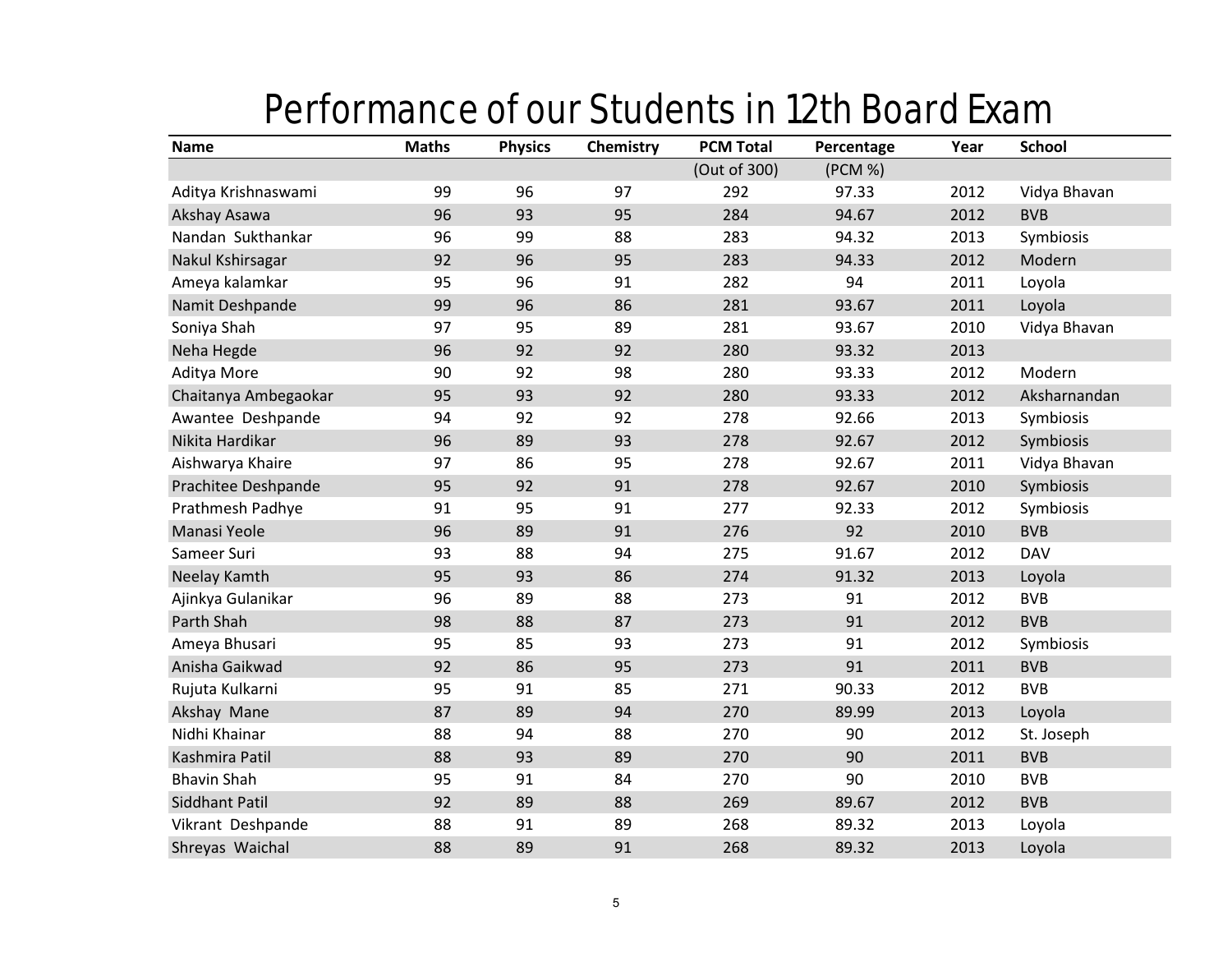### Performance of our Students in 12th Board Exam

| <b>Name</b>          | <b>Maths</b> | <b>Physics</b> | Chemistry | <b>PCM Total</b> | Percentage | Year | <b>School</b> |
|----------------------|--------------|----------------|-----------|------------------|------------|------|---------------|
|                      |              |                |           | (Out of 300)     | (PCM %)    |      |               |
| Aditya Krishnaswami  | 99           | 96             | 97        | 292              | 97.33      | 2012 | Vidya Bhavan  |
| Akshay Asawa         | 96           | 93             | 95        | 284              | 94.67      | 2012 | <b>BVB</b>    |
| Nandan Sukthankar    | 96           | 99             | 88        | 283              | 94.32      | 2013 | Symbiosis     |
| Nakul Kshirsagar     | 92           | 96             | 95        | 283              | 94.33      | 2012 | Modern        |
| Ameya kalamkar       | 95           | 96             | 91        | 282              | 94         | 2011 | Loyola        |
| Namit Deshpande      | 99           | 96             | 86        | 281              | 93.67      | 2011 | Loyola        |
| Soniya Shah          | 97           | 95             | 89        | 281              | 93.67      | 2010 | Vidya Bhavan  |
| Neha Hegde           | 96           | 92             | 92        | 280              | 93.32      | 2013 |               |
| Aditya More          | 90           | 92             | 98        | 280              | 93.33      | 2012 | Modern        |
| Chaitanya Ambegaokar | 95           | 93             | 92        | 280              | 93.33      | 2012 | Aksharnandan  |
| Awantee Deshpande    | 94           | 92             | 92        | 278              | 92.66      | 2013 | Symbiosis     |
| Nikita Hardikar      | 96           | 89             | 93        | 278              | 92.67      | 2012 | Symbiosis     |
| Aishwarya Khaire     | 97           | 86             | 95        | 278              | 92.67      | 2011 | Vidya Bhavan  |
| Prachitee Deshpande  | 95           | 92             | 91        | 278              | 92.67      | 2010 | Symbiosis     |
| Prathmesh Padhye     | 91           | 95             | 91        | 277              | 92.33      | 2012 | Symbiosis     |
| Manasi Yeole         | 96           | 89             | 91        | 276              | 92         | 2010 | <b>BVB</b>    |
| Sameer Suri          | 93           | 88             | 94        | 275              | 91.67      | 2012 | <b>DAV</b>    |
| Neelay Kamth         | 95           | 93             | 86        | 274              | 91.32      | 2013 | Loyola        |
| Ajinkya Gulanikar    | 96           | 89             | 88        | 273              | 91         | 2012 | <b>BVB</b>    |
| Parth Shah           | 98           | 88             | 87        | 273              | 91         | 2012 | <b>BVB</b>    |
| Ameya Bhusari        | 95           | 85             | 93        | 273              | 91         | 2012 | Symbiosis     |
| Anisha Gaikwad       | 92           | 86             | 95        | 273              | 91         | 2011 | <b>BVB</b>    |
| Rujuta Kulkarni      | 95           | 91             | 85        | 271              | 90.33      | 2012 | <b>BVB</b>    |
| Akshay Mane          | 87           | 89             | 94        | 270              | 89.99      | 2013 | Loyola        |
| Nidhi Khainar        | 88           | 94             | 88        | 270              | 90         | 2012 | St. Joseph    |
| Kashmira Patil       | 88           | 93             | 89        | 270              | 90         | 2011 | <b>BVB</b>    |
| <b>Bhavin Shah</b>   | 95           | 91             | 84        | 270              | 90         | 2010 | <b>BVB</b>    |
| Siddhant Patil       | 92           | 89             | 88        | 269              | 89.67      | 2012 | <b>BVB</b>    |
| Vikrant Deshpande    | 88           | 91             | 89        | 268              | 89.32      | 2013 | Loyola        |
| Shreyas Waichal      | 88           | 89             | 91        | 268              | 89.32      | 2013 | Loyola        |